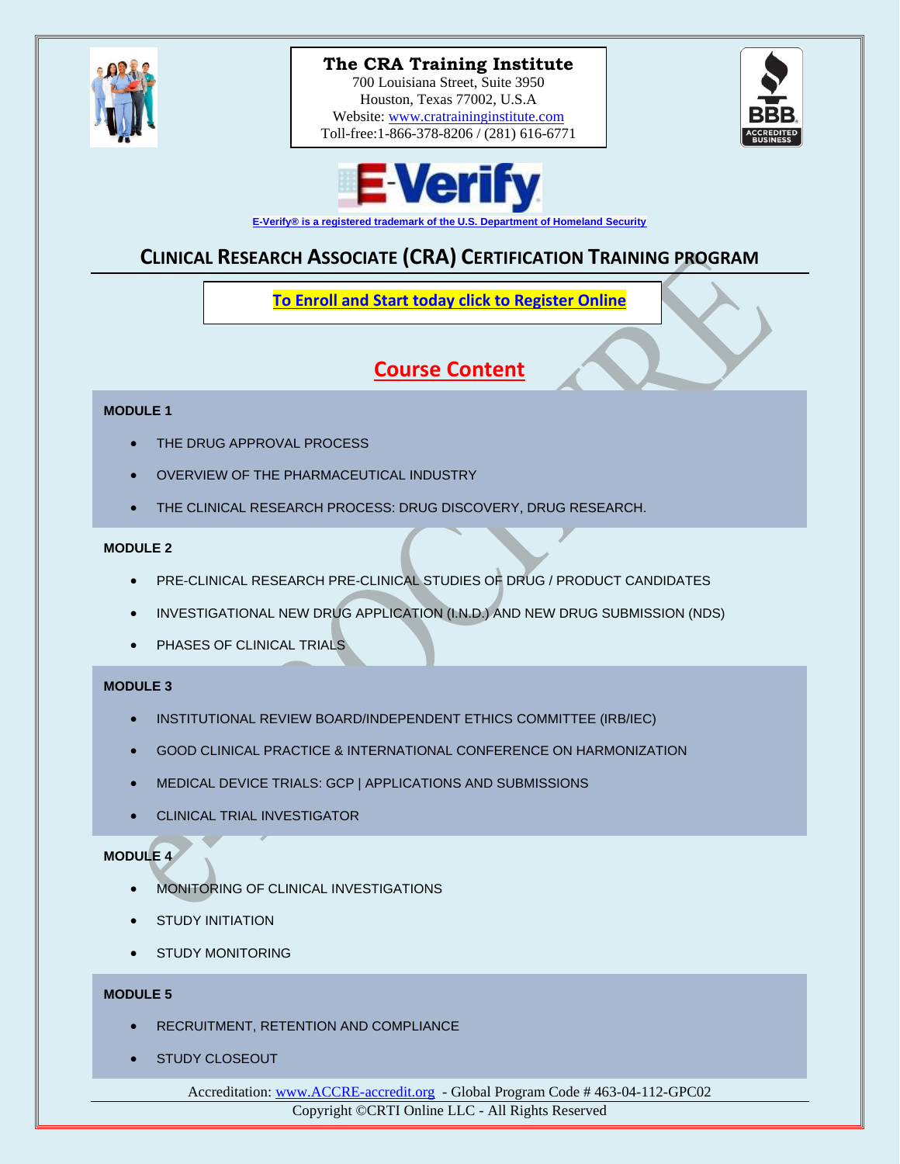

# **The CRA Training Institute**

700 Louisiana Street, Suite 3950 Houston, Texas 77002, U.S.A Website: [www.cratraininginstitute.com](http://www.cratraininginstitute.com/) Toll-free:1-866-378-8206 / (281) 616-6771





**[E-Verify® is a registered trademark of the U.S. Department of Homeland Security](http://www.cratraininginstitute.org/e-verify)**

# **CLINICAL RESEARCH ASSOCIATE (CRA) CERTIFICATION TRAINING PROGRAM**

**To Enroll and Start today [click to Register Online](https://www.cratraininginstitute.com/course-registration)**

# **Course Content**

#### **MODULE 1**

- **THE DRUG APPROVAL PROCESS**
- OVERVIEW OF THE PHARMACEUTICAL INDUSTRY
- THE CLINICAL RESEARCH PROCESS: DRUG DISCOVERY, DRUG RESEARCH.

#### **MODULE 2**

- PRE-CLINICAL RESEARCH PRE-CLINICAL STUDIES OF DRUG / PRODUCT CANDIDATES
- INVESTIGATIONAL NEW DRUG APPLICATION (I.N.D.) AND NEW DRUG SUBMISSION (NDS)
- PHASES OF CLINICAL TRIALS

#### **MODULE 3**

- INSTITUTIONAL REVIEW BOARD/INDEPENDENT ETHICS COMMITTEE (IRB/IEC)
- GOOD CLINICAL PRACTICE & INTERNATIONAL CONFERENCE ON HARMONIZATION
- MEDICAL DEVICE TRIALS: GCP | APPLICATIONS AND SUBMISSIONS
- CLINICAL TRIAL INVESTIGATOR

# **MODULE 4**

- MONITORING OF CLINICAL INVESTIGATIONS
- **STUDY INITIATION**
- **STUDY MONITORING**

### **MODULE 5**

- RECRUITMENT, RETENTION AND COMPLIANCE
- STUDY CLOSEOUT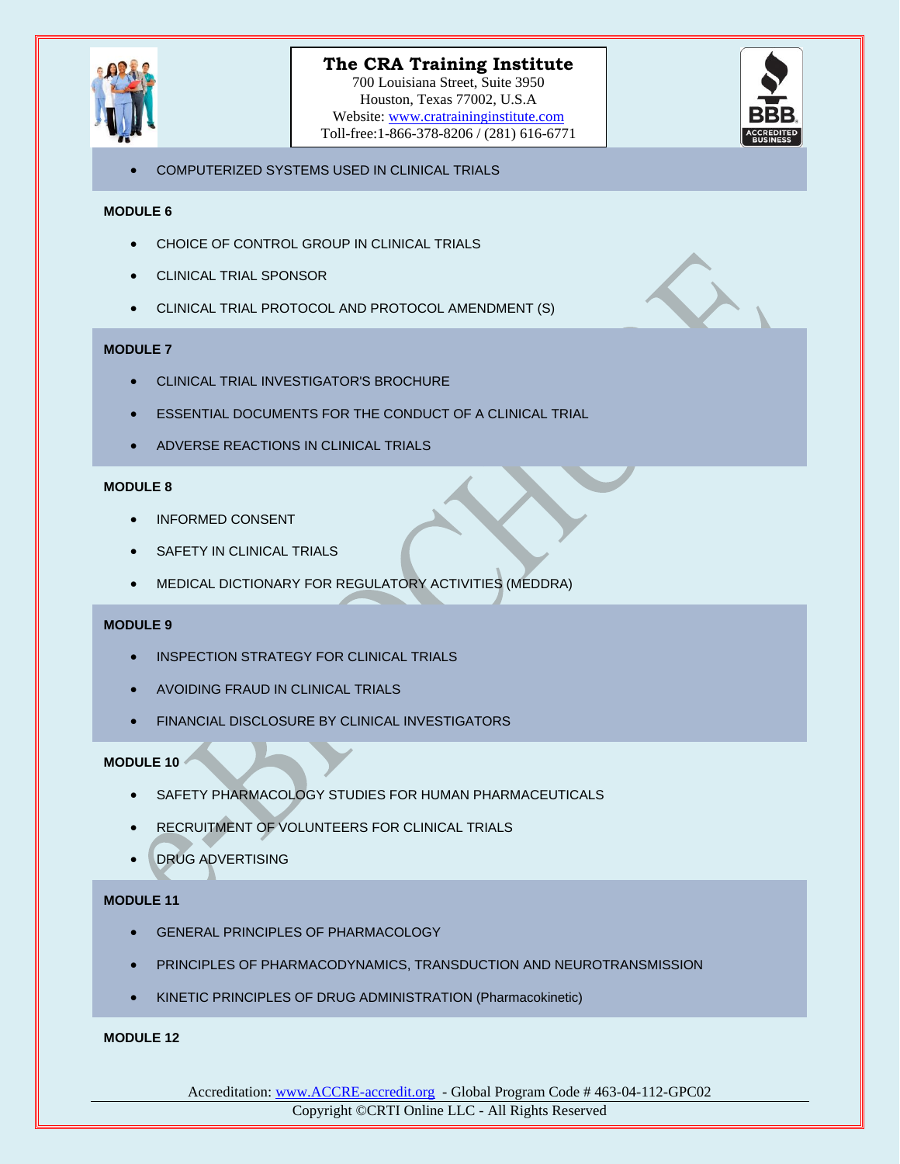

## **The CRA Training Institute**

700 Louisiana Street, Suite 3950 Houston, Texas 77002, U.S.A Website: [www.cratraininginstitute.com](http://www.cratraininginstitute.com/) Toll-free:1-866-378-8206 / (281) 616-6771



• COMPUTERIZED SYSTEMS USED IN CLINICAL TRIALS

#### **MODULE 6**

- CHOICE OF CONTROL GROUP IN CLINICAL TRIALS
- CLINICAL TRIAL SPONSOR
- CLINICAL TRIAL PROTOCOL AND PROTOCOL AMENDMENT (S)

#### **MODULE 7**

- CLINICAL TRIAL INVESTIGATOR'S BROCHURE
- ESSENTIAL DOCUMENTS FOR THE CONDUCT OF A CLINICAL TRIAL
- ADVERSE REACTIONS IN CLINICAL TRIALS

#### **MODULE 8**

- INFORMED CONSENT
- SAFETY IN CLINICAL TRIALS
- MEDICAL DICTIONARY FOR REGULATORY ACTIVITIES (MEDDRA)

#### **MODULE 9**

- INSPECTION STRATEGY FOR CLINICAL TRIALS
- AVOIDING FRAUD IN CLINICAL TRIALS
- FINANCIAL DISCLOSURE BY CLINICAL INVESTIGATORS

#### **MODULE 10**

- SAFETY PHARMACOLOGY STUDIES FOR HUMAN PHARMACEUTICALS
- RECRUITMENT OF VOLUNTEERS FOR CLINICAL TRIALS
- DRUG ADVERTISING

#### **MODULE 11**

- **GENERAL PRINCIPLES OF PHARMACOLOGY**
- PRINCIPLES OF PHARMACODYNAMICS, TRANSDUCTION AND NEUROTRANSMISSION
- KINETIC PRINCIPLES OF DRUG ADMINISTRATION (Pharmacokinetic)

#### **MODULE 12**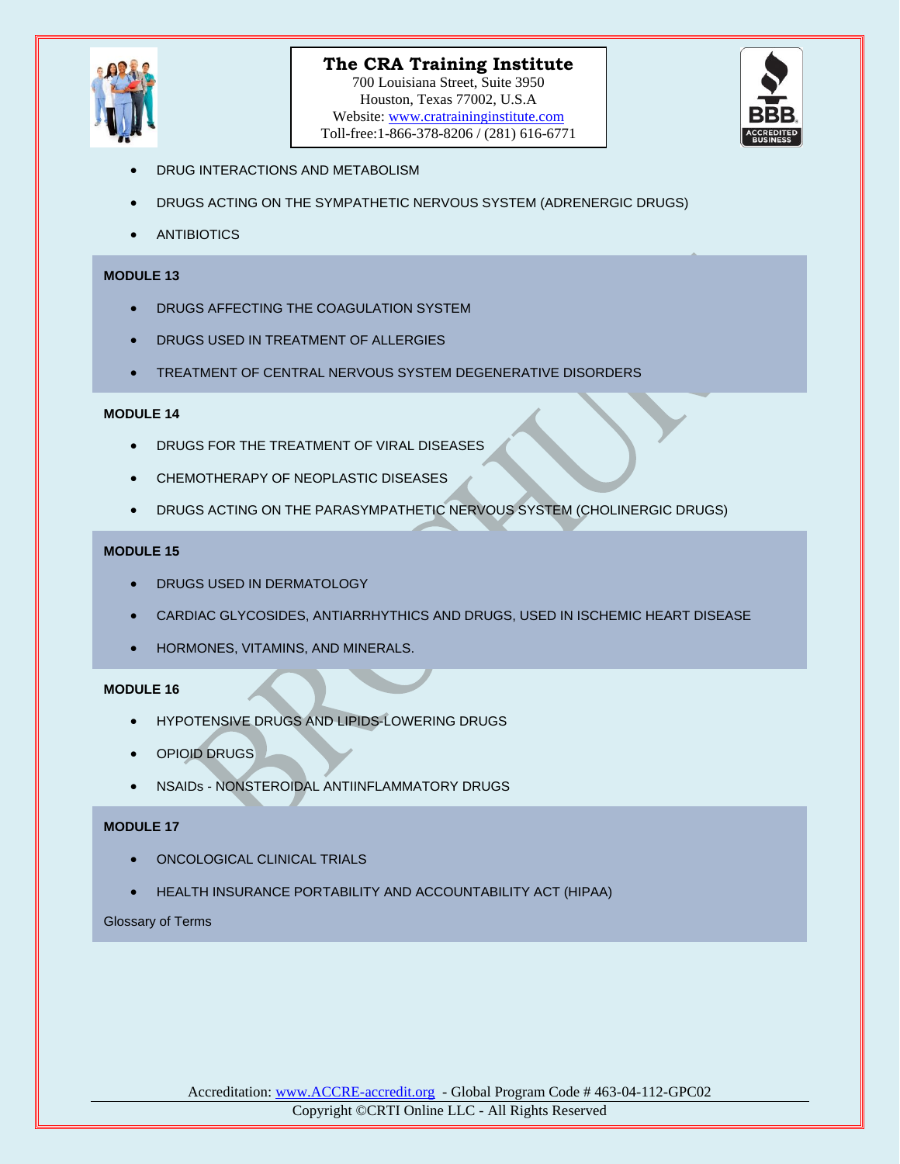

700 Louisiana Street, Suite 3950 Houston, Texas 77002, U.S.A Website: [www.cratraininginstitute.com](http://www.cratraininginstitute.com/) Toll-free:1-866-378-8206 / (281) 616-6771



- DRUG INTERACTIONS AND METABOLISM
- DRUGS ACTING ON THE SYMPATHETIC NERVOUS SYSTEM (ADRENERGIC DRUGS)
- **ANTIBIOTICS**

#### **MODULE 13**

- DRUGS AFFECTING THE COAGULATION SYSTEM
- **DRUGS USED IN TREATMENT OF ALLERGIES**
- TREATMENT OF CENTRAL NERVOUS SYSTEM DEGENERATIVE DISORDERS

#### **MODULE 14**

- DRUGS FOR THE TREATMENT OF VIRAL DISEASES
- CHEMOTHERAPY OF NEOPLASTIC DISEASES
- DRUGS ACTING ON THE PARASYMPATHETIC NERVOUS SYSTEM (CHOLINERGIC DRUGS)

#### **MODULE 15**

- DRUGS USED IN DERMATOLOGY
- CARDIAC GLYCOSIDES, ANTIARRHYTHICS AND DRUGS, USED IN ISCHEMIC HEART DISEASE
- HORMONES, VITAMINS, AND MINERALS.

#### **MODULE 16**

- HYPOTENSIVE DRUGS AND LIPIDS-LOWERING DRUGS
- OPIOID DRUGS
- NSAIDs NONSTEROIDAL ANTIINFLAMMATORY DRUGS

#### **MODULE 17**

- ONCOLOGICAL CLINICAL TRIALS
- HEALTH INSURANCE PORTABILITY AND ACCOUNTABILITY ACT (HIPAA)

#### Glossary of Terms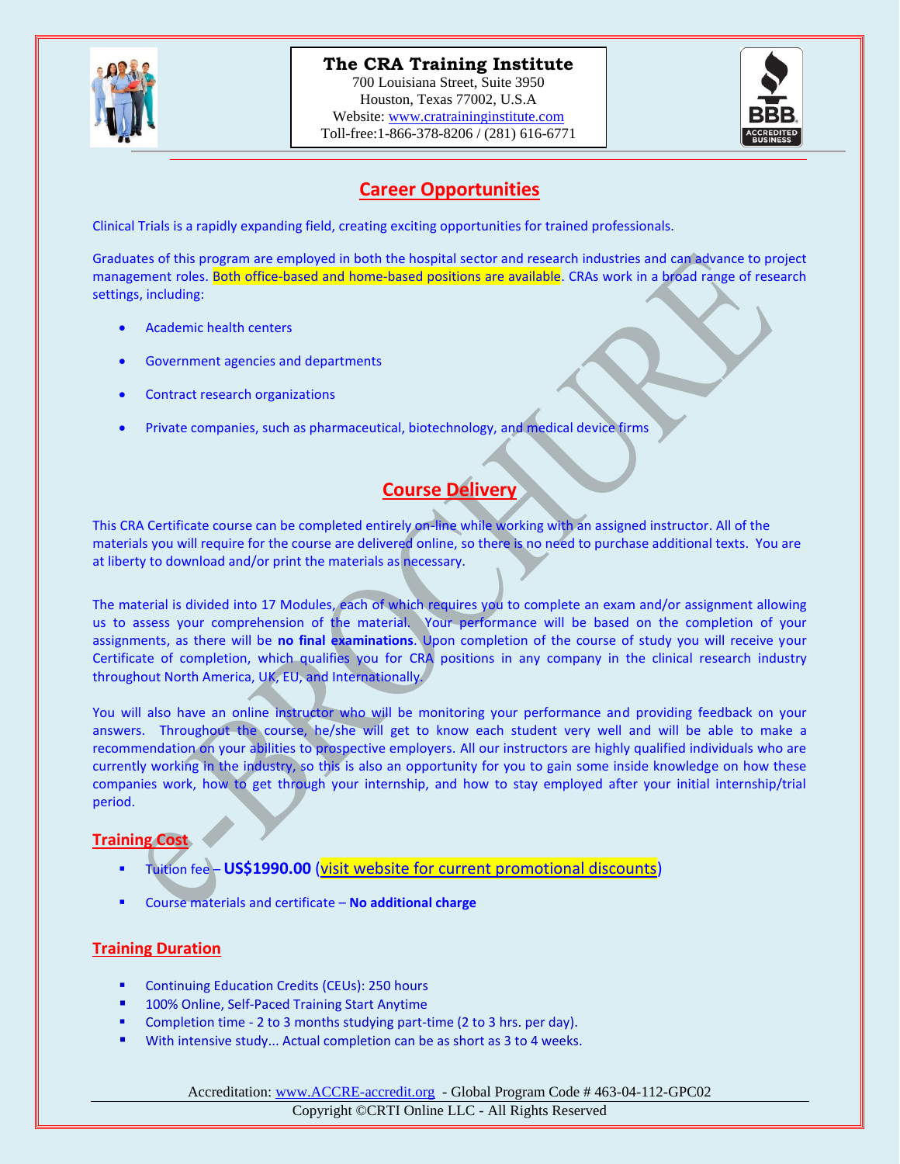

## **The CRA Training Institute**

700 Louisiana Street, Suite 3950 Houston, Texas 77002, U.S.A Website: [www.cratraininginstitute.com](http://www.cratraininginstitute.com/) Toll-free:1-866-378-8206 / (281) 616-6771



## **Career Opportunities**

Clinical Trials is a rapidly expanding field, creating exciting opportunities for trained professionals.

Graduates of this program are employed in both the hospital sector and research industries and can advance to project management roles. Both office-based and home-based positions are available. CRAs work in a broad range of research settings, including:

- Academic health centers
- Government agencies and departments
- Contract research organizations
- Private companies, such as pharmaceutical, biotechnology, and medical device firms

# **Course Delivery**

This CRA Certificate course can be completed entirely on-line while working with an assigned instructor. All of the materials you will require for the course are delivered online, so there is no need to purchase additional texts. You are at liberty to download and/or print the materials as necessary.

The material is divided into 17 Modules, each of which requires you to complete an exam and/or assignment allowing us to assess your comprehension of the material. Your performance will be based on the completion of your assignments, as there will be **no final examinations**. Upon completion of the course of study you will receive your Certificate of completion, which qualifies you for CRA positions in any company in the clinical research industry throughout North America, UK, EU, and Internationally.

You will also have an online instructor who will be monitoring your performance and providing feedback on your answers. Throughout the course, he/she will get to know each student very well and will be able to make a recommendation on your abilities to prospective employers. All our instructors are highly qualified individuals who are currently working in the industry, so this is also an opportunity for you to gain some inside knowledge on how these companies work, how to get through your internship, and how to stay employed after your initial internship/trial period.

### **Training Cost**

- Tuition fee **US\$1990.00** [\(visit website for current promotional discounts\)](https://www.cratraininginstitute.com/)
- Course materials and certificate **No additional charge**

### **Training Duration**

- Continuing Education Credits (CEUs): 250 hours
- 100% Online, Self-Paced Training Start Anytime
- Completion time 2 to 3 months studying part-time (2 to 3 hrs. per day).
- With intensive study... Actual completion can be as short as 3 to 4 weeks.